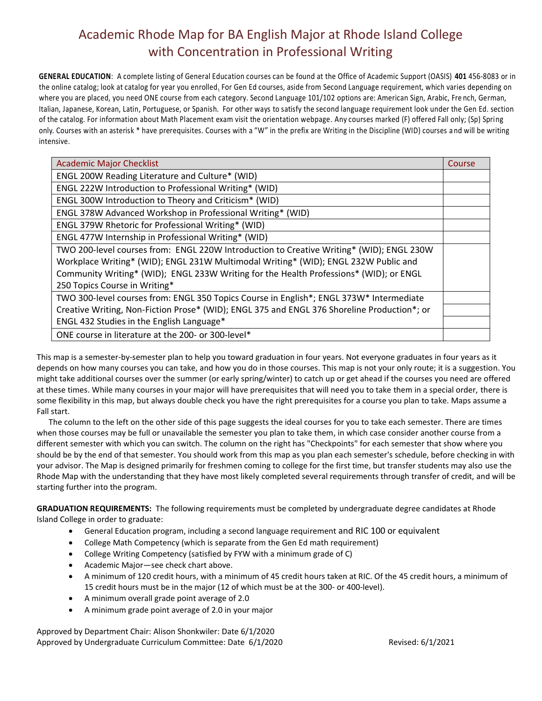**GENERAL EDUCATION**: A complete listing of General Education courses can be found at the Office of Academic Support (OASIS) **401** 456-8083 or in the online catalog; look at catalog for year you enrolled. For Gen Ed courses, aside from Second Language requirement, which varies depending on where you are placed, you need ONE course from each category. Second Language 101/102 options are: American Sign, Arabic, Fre nch, German, Italian, Japanese, Korean, Latin, Portuguese, or Spanish. For other ways to satisfy the second language requirement look under the Gen Ed. section of the catalog. For information about Math Placement exam visit the orientation webpage. Any courses marked (F) offered Fall only; (Sp) Spring only. Courses with an asterisk \* have prerequisites. Courses with a "W" in the prefix are Writing in the Discipline (WID) courses a nd will be writing intensive.

| <b>Academic Major Checklist</b>                                                             | Course |  |  |
|---------------------------------------------------------------------------------------------|--------|--|--|
| ENGL 200W Reading Literature and Culture* (WID)                                             |        |  |  |
| ENGL 222W Introduction to Professional Writing* (WID)                                       |        |  |  |
| ENGL 300W Introduction to Theory and Criticism* (WID)                                       |        |  |  |
| ENGL 378W Advanced Workshop in Professional Writing* (WID)                                  |        |  |  |
| ENGL 379W Rhetoric for Professional Writing* (WID)                                          |        |  |  |
| ENGL 477W Internship in Professional Writing* (WID)                                         |        |  |  |
| TWO 200-level courses from: ENGL 220W Introduction to Creative Writing* (WID); ENGL 230W    |        |  |  |
| Workplace Writing* (WID); ENGL 231W Multimodal Writing* (WID); ENGL 232W Public and         |        |  |  |
| Community Writing* (WID); ENGL 233W Writing for the Health Professions* (WID); or ENGL      |        |  |  |
| 250 Topics Course in Writing*                                                               |        |  |  |
| TWO 300-level courses from: ENGL 350 Topics Course in English*; ENGL 373W* Intermediate     |        |  |  |
| Creative Writing, Non-Fiction Prose* (WID); ENGL 375 and ENGL 376 Shoreline Production*; or |        |  |  |
| ENGL 432 Studies in the English Language*                                                   |        |  |  |
| ONE course in literature at the 200- or 300-level*                                          |        |  |  |

This map is a semester-by-semester plan to help you toward graduation in four years. Not everyone graduates in four years as it depends on how many courses you can take, and how you do in those courses. This map is not your only route; it is a suggestion. You might take additional courses over the summer (or early spring/winter) to catch up or get ahead if the courses you need are offered at these times. While many courses in your major will have prerequisites that will need you to take them in a special order, there is some flexibility in this map, but always double check you have the right prerequisites for a course you plan to take. Maps assume a Fall start.

 The column to the left on the other side of this page suggests the ideal courses for you to take each semester. There are times when those courses may be full or unavailable the semester you plan to take them, in which case consider another course from a different semester with which you can switch. The column on the right has "Checkpoints" for each semester that show where you should be by the end of that semester. You should work from this map as you plan each semester's schedule, before checking in with your advisor. The Map is designed primarily for freshmen coming to college for the first time, but transfer students may also use the Rhode Map with the understanding that they have most likely completed several requirements through transfer of credit, and will be starting further into the program.

**GRADUATION REQUIREMENTS:** The following requirements must be completed by undergraduate degree candidates at Rhode Island College in order to graduate:

- General Education program, including a second language requirement and RIC 100 or equivalent
- College Math Competency (which is separate from the Gen Ed math requirement)
- College Writing Competency (satisfied by FYW with a minimum grade of C)
- Academic Major—see check chart above.
- A minimum of 120 credit hours, with a minimum of 45 credit hours taken at RIC. Of the 45 credit hours, a minimum of 15 credit hours must be in the major (12 of which must be at the 300- or 400-level).
- A minimum overall grade point average of 2.0
- A minimum grade point average of 2.0 in your major

Approved by Department Chair: Alison Shonkwiler: Date 6/1/2020 Approved by Undergraduate Curriculum Committee: Date 6/1/2020 Revised: 6/1/2021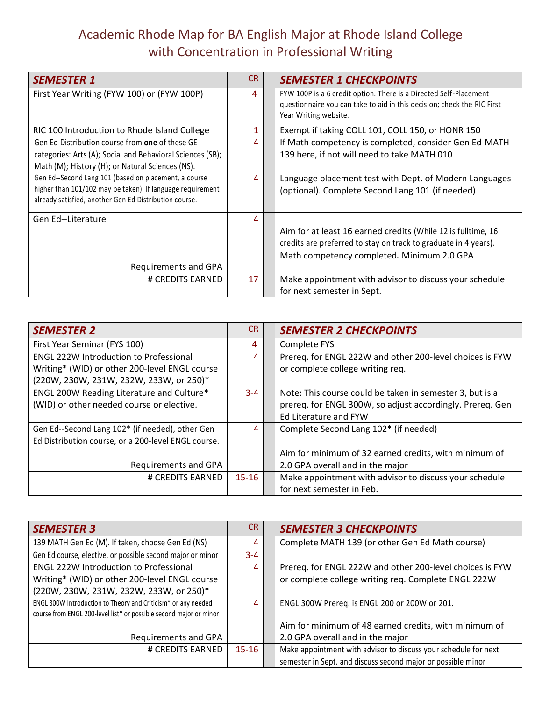| <b>SEMESTER 1</b>                                          | CR. | <b>SEMESTER 1 CHECKPOINTS</b>                                                                    |
|------------------------------------------------------------|-----|--------------------------------------------------------------------------------------------------|
| First Year Writing (FYW 100) or (FYW 100P)                 | 4   | FYW 100P is a 6 credit option. There is a Directed Self-Placement                                |
|                                                            |     | questionnaire you can take to aid in this decision; check the RIC First<br>Year Writing website. |
|                                                            |     |                                                                                                  |
| RIC 100 Introduction to Rhode Island College               | 1   | Exempt if taking COLL 101, COLL 150, or HONR 150                                                 |
| Gen Ed Distribution course from one of these GE            | 4   | If Math competency is completed, consider Gen Ed-MATH                                            |
| categories: Arts (A); Social and Behavioral Sciences (SB); |     | 139 here, if not will need to take MATH 010                                                      |
| Math (M); History (H); or Natural Sciences (NS).           |     |                                                                                                  |
| Gen Ed--Second Lang 101 (based on placement, a course      | 4   | Language placement test with Dept. of Modern Languages                                           |
| higher than 101/102 may be taken). If language requirement |     | (optional). Complete Second Lang 101 (if needed)                                                 |
| already satisfied, another Gen Ed Distribution course.     |     |                                                                                                  |
| Gen Ed--Literature                                         | 4   |                                                                                                  |
|                                                            |     | Aim for at least 16 earned credits (While 12 is fulltime, 16                                     |
|                                                            |     | credits are preferred to stay on track to graduate in 4 years).                                  |
|                                                            |     | Math competency completed. Minimum 2.0 GPA                                                       |
| Requirements and GPA                                       |     |                                                                                                  |
| # CREDITS EARNED                                           | 17  | Make appointment with advisor to discuss your schedule                                           |
|                                                            |     | for next semester in Sept.                                                                       |

| <b>SEMESTER 2</b>                                   | CR.       | <b>SEMESTER 2 CHECKPOINTS</b>                             |
|-----------------------------------------------------|-----------|-----------------------------------------------------------|
| First Year Seminar (FYS 100)                        | 4         | Complete FYS                                              |
| <b>ENGL 222W Introduction to Professional</b>       | 4         | Prereq. for ENGL 222W and other 200-level choices is FYW  |
| Writing* (WID) or other 200-level ENGL course       |           | or complete college writing req.                          |
| (220W, 230W, 231W, 232W, 233W, or 250)*             |           |                                                           |
| ENGL 200W Reading Literature and Culture*           | $3 - 4$   | Note: This course could be taken in semester 3, but is a  |
| (WID) or other needed course or elective.           |           | prereq. for ENGL 300W, so adjust accordingly. Prereq. Gen |
|                                                     |           | Ed Literature and FYW                                     |
| Gen Ed--Second Lang 102* (if needed), other Gen     | 4         | Complete Second Lang 102* (if needed)                     |
| Ed Distribution course, or a 200-level ENGL course. |           |                                                           |
|                                                     |           | Aim for minimum of 32 earned credits, with minimum of     |
| Requirements and GPA                                |           | 2.0 GPA overall and in the major                          |
| # CREDITS EARNED                                    | $15 - 16$ | Make appointment with advisor to discuss your schedule    |
|                                                     |           | for next semester in Feb.                                 |

| <b>SEMESTER 3</b>                                                  | <b>CR</b> | <b>SEMESTER 3 CHECKPOINTS</b>                                   |
|--------------------------------------------------------------------|-----------|-----------------------------------------------------------------|
| 139 MATH Gen Ed (M). If taken, choose Gen Ed (NS)                  | 4         | Complete MATH 139 (or other Gen Ed Math course)                 |
| Gen Ed course, elective, or possible second major or minor         | $3 - 4$   |                                                                 |
| <b>ENGL 222W Introduction to Professional</b>                      | 4         | Prereq. for ENGL 222W and other 200-level choices is FYW        |
| Writing* (WID) or other 200-level ENGL course                      |           | or complete college writing req. Complete ENGL 222W             |
| (220W, 230W, 231W, 232W, 233W, or 250)*                            |           |                                                                 |
| ENGL 300W Introduction to Theory and Criticism* or any needed      | 4         | ENGL 300W Prereq. is ENGL 200 or 200W or 201.                   |
| course from ENGL 200-level list* or possible second major or minor |           |                                                                 |
|                                                                    |           | Aim for minimum of 48 earned credits, with minimum of           |
| Requirements and GPA                                               |           | 2.0 GPA overall and in the major                                |
| # CREDITS EARNED                                                   | $15 - 16$ | Make appointment with advisor to discuss your schedule for next |
|                                                                    |           | semester in Sept. and discuss second major or possible minor    |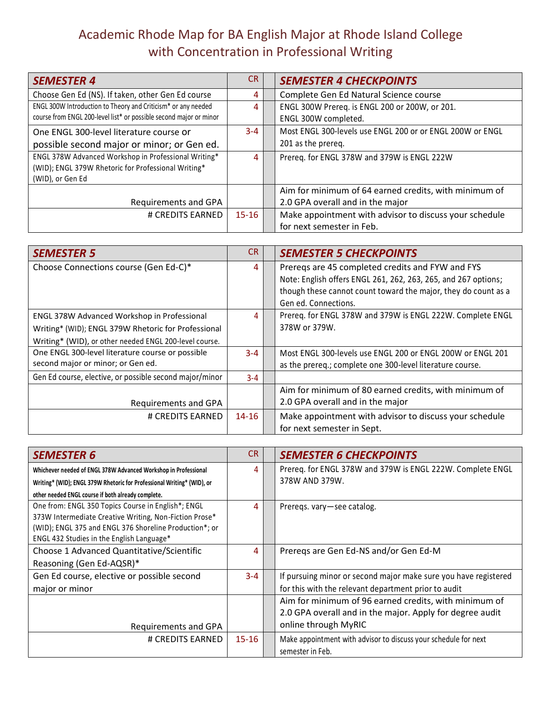| <b>SEMESTER 4</b>                                                  | <b>CR</b> | <b>SEMESTER 4 CHECKPOINTS</b>                             |
|--------------------------------------------------------------------|-----------|-----------------------------------------------------------|
| Choose Gen Ed (NS). If taken, other Gen Ed course                  | 4         | Complete Gen Ed Natural Science course                    |
| ENGL 300W Introduction to Theory and Criticism* or any needed      | 4         | ENGL 300W Prereq. is ENGL 200 or 200W, or 201.            |
| course from ENGL 200-level list* or possible second major or minor |           | ENGL 300W completed.                                      |
| One ENGL 300-level literature course or                            | $3 - 4$   | Most ENGL 300-levels use ENGL 200 or or ENGL 200W or ENGL |
| possible second major or minor; or Gen ed.                         |           | 201 as the prereq.                                        |
| ENGL 378W Advanced Workshop in Professional Writing*               | 4         | Prereq. for ENGL 378W and 379W is ENGL 222W               |
| (WID); ENGL 379W Rhetoric for Professional Writing*                |           |                                                           |
| (WID), or Gen Ed                                                   |           |                                                           |
|                                                                    |           | Aim for minimum of 64 earned credits, with minimum of     |
| Requirements and GPA                                               |           | 2.0 GPA overall and in the major                          |
| # CREDITS EARNED                                                   | $15 - 16$ | Make appointment with advisor to discuss your schedule    |
|                                                                    |           | for next semester in Feb.                                 |

| <b>SEMESTER 5</b>                                       | CR.       | <b>SEMESTER 5 CHECKPOINTS</b>                                  |
|---------------------------------------------------------|-----------|----------------------------------------------------------------|
| Choose Connections course (Gen Ed-C)*                   | 4         | Prereqs are 45 completed credits and FYW and FYS               |
|                                                         |           | Note: English offers ENGL 261, 262, 263, 265, and 267 options; |
|                                                         |           | though these cannot count toward the major, they do count as a |
|                                                         |           | Gen ed. Connections.                                           |
| ENGL 378W Advanced Workshop in Professional             | 4         | Prereq. for ENGL 378W and 379W is ENGL 222W. Complete ENGL     |
| Writing* (WID); ENGL 379W Rhetoric for Professional     |           | 378W or 379W.                                                  |
| Writing* (WID), or other needed ENGL 200-level course.  |           |                                                                |
| One ENGL 300-level literature course or possible        | $3 - 4$   | Most ENGL 300-levels use ENGL 200 or ENGL 200W or ENGL 201     |
| second major or minor; or Gen ed.                       |           | as the prereq.; complete one 300-level literature course.      |
| Gen Ed course, elective, or possible second major/minor | $3 - 4$   |                                                                |
|                                                         |           | Aim for minimum of 80 earned credits, with minimum of          |
| Requirements and GPA                                    |           | 2.0 GPA overall and in the major                               |
| # CREDITS EARNED                                        | $14 - 16$ | Make appointment with advisor to discuss your schedule         |
|                                                         |           | for next semester in Sept.                                     |

| <b>SEMESTER 6</b>                                                      | CR.       | <b>SEMESTER 6 CHECKPOINTS</b>                                   |
|------------------------------------------------------------------------|-----------|-----------------------------------------------------------------|
| Whichever needed of ENGL 378W Advanced Workshop in Professional        | 4         | Prereq. for ENGL 378W and 379W is ENGL 222W. Complete ENGL      |
| Writing* (WID); ENGL 379W Rhetoric for Professional Writing* (WID), or |           | 378W AND 379W.                                                  |
| other needed ENGL course if both already complete.                     |           |                                                                 |
| One from: ENGL 350 Topics Course in English*; ENGL                     | 4         | Preregs. vary-see catalog.                                      |
| 373W Intermediate Creative Writing, Non-Fiction Prose*                 |           |                                                                 |
| (WID); ENGL 375 and ENGL 376 Shoreline Production*; or                 |           |                                                                 |
| ENGL 432 Studies in the English Language*                              |           |                                                                 |
| Choose 1 Advanced Quantitative/Scientific                              | 4         | Preregs are Gen Ed-NS and/or Gen Ed-M                           |
| Reasoning (Gen Ed-AQSR)*                                               |           |                                                                 |
| Gen Ed course, elective or possible second                             | $3 - 4$   | If pursuing minor or second major make sure you have registered |
| major or minor                                                         |           | for this with the relevant department prior to audit            |
|                                                                        |           | Aim for minimum of 96 earned credits, with minimum of           |
|                                                                        |           | 2.0 GPA overall and in the major. Apply for degree audit        |
| Requirements and GPA                                                   |           | online through MyRIC                                            |
| # CREDITS EARNED                                                       | $15 - 16$ | Make appointment with advisor to discuss your schedule for next |
|                                                                        |           | semester in Feb.                                                |